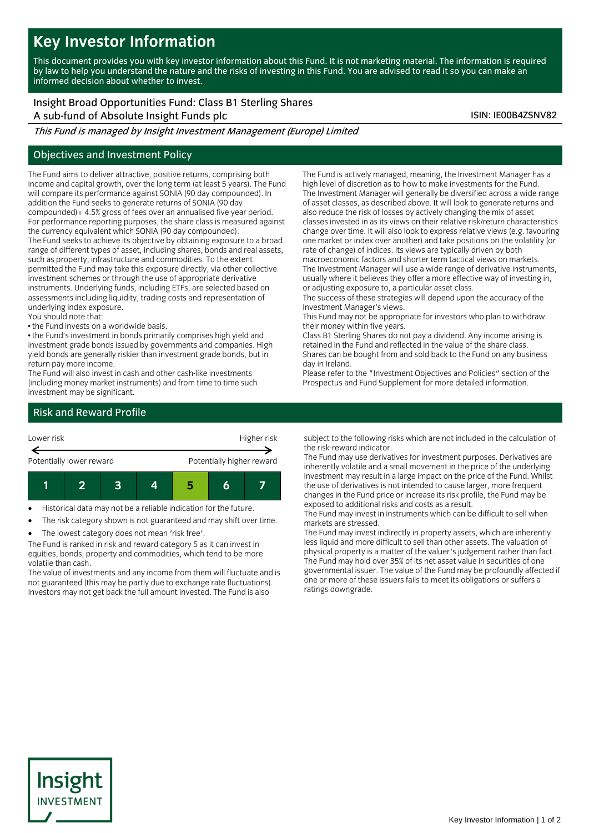# **Key Investor Information**

This document provides you with key investor information about this Fund. It is not marketing material. The information is required by law to help you understand the nature and the risks of investing in this Fund. You are advised to read it so you can make an informed decision about whether to invest.

# Insight Broad Opportunities Fund: Class B1 Sterling Shares

A sub-fund of Absolute Insight Funds plc ISIN: IE00B4ZSNV82

This Fund is managed by Insight Investment Management (Europe) Limited

### Objectives and Investment Policy

The Fund aims to deliver attractive, positive returns, comprising both income and capital growth, over the long term (at least 5 years). The Fund will compare its performance against SONIA (90 day compounded). In addition the Fund seeks to generate returns of SONIA (90 day compounded)+ 4.5% gross of fees over an annualised five year period. For performance reporting purposes, the share class is measured against the currency equivalent which SONIA (90 day compounded).

The Fund seeks to achieve its objective by obtaining exposure to a broad range of different types of asset, including shares, bonds and real assets, such as property, infrastructure and commodities. To the extent permitted the Fund may take this exposure directly, via other collective investment schemes or through the use of appropriate derivative instruments. Underlying funds, including ETFs, are selected based on assessments including liquidity, trading costs and representation of underlying index exposure.

You should note that:

• the Fund invests on a worldwide basis.

• the Fund's investment in bonds primarily comprises high yield and investment grade bonds issued by governments and companies. High yield bonds are generally riskier than investment grade bonds, but in return pay more income.

The Fund will also invest in cash and other cash-like investments (including money market instruments) and from time to time such investment may be significant.

The Fund is actively managed, meaning, the Investment Manager has a high level of discretion as to how to make investments for the Fund. The Investment Manager will generally be diversified across a wide range of asset classes, as described above. It will look to generate returns and also reduce the risk of losses by actively changing the mix of asset classes invested in as its views on their relative risk/return characteristics change over time. It will also look to express relative views (e.g. favouring one market or index over another) and take positions on the volatility (or rate of change) of indices. Its views are typically driven by both macroeconomic factors and shorter term tactical views on markets. The Investment Manager will use a wide range of derivative instruments,

usually where it believes they offer a more effective way of investing in, or adjusting exposure to, a particular asset class.

The success of these strategies will depend upon the accuracy of the Investment Manager's views.

This Fund may not be appropriate for investors who plan to withdraw their money within five years.

Class B1 Sterling Shares do not pay a dividend. Any income arising is retained in the Fund and reflected in the value of the share class. Shares can be bought from and sold back to the Fund on any business day in Ireland.

Please refer to the "Investment Objectives and Policies" section of the Prospectus and Fund Supplement for more detailed information.

## Risk and Reward Profile



Historical data may not be a reliable indication for the future.

The risk category shown is not guaranteed and may shift over time.

The lowest category does not mean 'risk free'.

The Fund is ranked in risk and reward category 5 as it can invest in equities, bonds, property and commodities, which tend to be more volatile than cash.

The value of investments and any income from them will fluctuate and is not guaranteed (this may be partly due to exchange rate fluctuations). Investors may not get back the full amount invested. The Fund is also

subject to the following risks which are not included in the calculation of the risk-reward indicator.

The Fund may use derivatives for investment purposes. Derivatives are inherently volatile and a small movement in the price of the underlying investment may result in a large impact on the price of the Fund. Whilst the use of derivatives is not intended to cause larger, more frequent changes in the Fund price or increase its risk profile, the Fund may be exposed to additional risks and costs as a result.

The Fund may invest in instruments which can be difficult to sell when markets are stressed.

The Fund may invest indirectly in property assets, which are inherently less liquid and more difficult to sell than other assets. The valuation of physical property is a matter of the valuer's judgement rather than fact. The Fund may hold over 35% of its net asset value in securities of one governmental issuer. The value of the Fund may be profoundly affected if one or more of these issuers fails to meet its obligations or suffers a ratings downgrade.